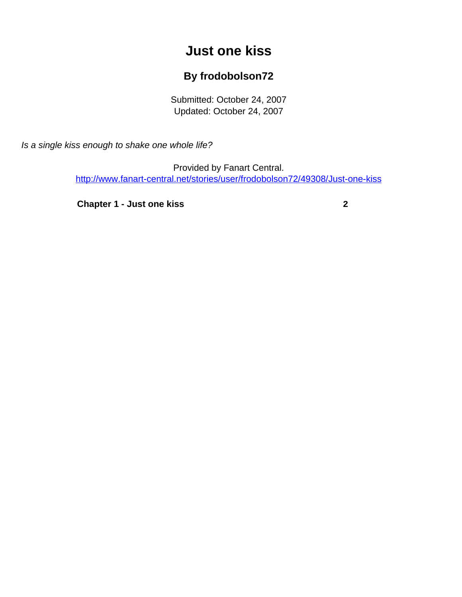## **Just one kiss**

## **By frodobolson72**

Submitted: October 24, 2007 Updated: October 24, 2007

<span id="page-0-0"></span>Is a single kiss enough to shake one whole life?

Provided by Fanart Central. [http://www.fanart-central.net/stories/user/frodobolson72/49308/Just-one-kiss](#page-0-0)

**[Chapter 1 - Just one kiss](#page-1-0) [2](#page-1-0)**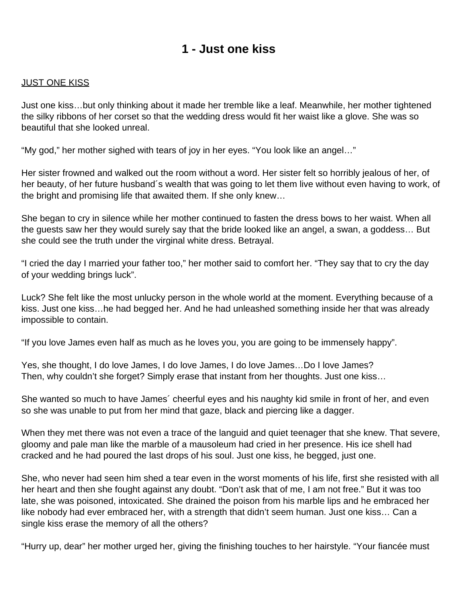## **1 - Just one kiss**

## <span id="page-1-0"></span>JUST ONE KISS

Just one kiss…but only thinking about it made her tremble like a leaf. Meanwhile, her mother tightened the silky ribbons of her corset so that the wedding dress would fit her waist like a glove. She was so beautiful that she looked unreal.

"My god," her mother sighed with tears of joy in her eyes. "You look like an angel…"

Her sister frowned and walked out the room without a word. Her sister felt so horribly jealous of her, of her beauty, of her future husband´s wealth that was going to let them live without even having to work, of the bright and promising life that awaited them. If she only knew…

She began to cry in silence while her mother continued to fasten the dress bows to her waist. When all the guests saw her they would surely say that the bride looked like an angel, a swan, a goddess… But she could see the truth under the virginal white dress. Betrayal.

"I cried the day I married your father too," her mother said to comfort her. "They say that to cry the day of your wedding brings luck".

Luck? She felt like the most unlucky person in the whole world at the moment. Everything because of a kiss. Just one kiss…he had begged her. And he had unleashed something inside her that was already impossible to contain.

"If you love James even half as much as he loves you, you are going to be immensely happy".

Yes, she thought, I do love James, I do love James, I do love James…Do I love James? Then, why couldn't she forget? Simply erase that instant from her thoughts. Just one kiss…

She wanted so much to have James´ cheerful eyes and his naughty kid smile in front of her, and even so she was unable to put from her mind that gaze, black and piercing like a dagger.

When they met there was not even a trace of the languid and quiet teenager that she knew. That severe, gloomy and pale man like the marble of a mausoleum had cried in her presence. His ice shell had cracked and he had poured the last drops of his soul. Just one kiss, he begged, just one.

She, who never had seen him shed a tear even in the worst moments of his life, first she resisted with all her heart and then she fought against any doubt. "Don't ask that of me, I am not free." But it was too late, she was poisoned, intoxicated. She drained the poison from his marble lips and he embraced her like nobody had ever embraced her, with a strength that didn't seem human. Just one kiss… Can a single kiss erase the memory of all the others?

"Hurry up, dear" her mother urged her, giving the finishing touches to her hairstyle. "Your fiancée must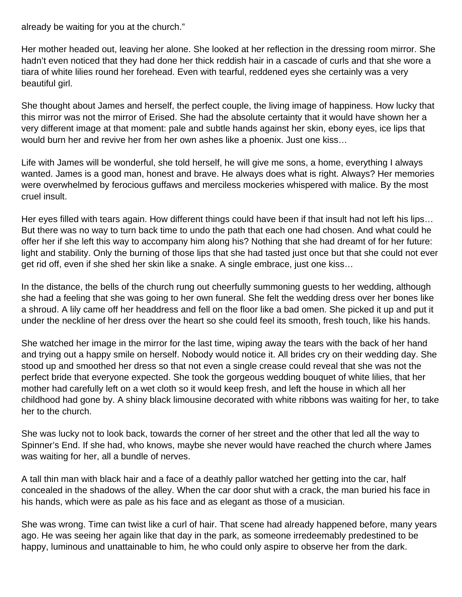already be waiting for you at the church."

Her mother headed out, leaving her alone. She looked at her reflection in the dressing room mirror. She hadn't even noticed that they had done her thick reddish hair in a cascade of curls and that she wore a tiara of white lilies round her forehead. Even with tearful, reddened eyes she certainly was a very beautiful girl.

She thought about James and herself, the perfect couple, the living image of happiness. How lucky that this mirror was not the mirror of Erised. She had the absolute certainty that it would have shown her a very different image at that moment: pale and subtle hands against her skin, ebony eyes, ice lips that would burn her and revive her from her own ashes like a phoenix. Just one kiss…

Life with James will be wonderful, she told herself, he will give me sons, a home, everything I always wanted. James is a good man, honest and brave. He always does what is right. Always? Her memories were overwhelmed by ferocious guffaws and merciless mockeries whispered with malice. By the most cruel insult.

Her eyes filled with tears again. How different things could have been if that insult had not left his lips… But there was no way to turn back time to undo the path that each one had chosen. And what could he offer her if she left this way to accompany him along his? Nothing that she had dreamt of for her future: light and stability. Only the burning of those lips that she had tasted just once but that she could not ever get rid off, even if she shed her skin like a snake. A single embrace, just one kiss…

In the distance, the bells of the church rung out cheerfully summoning guests to her wedding, although she had a feeling that she was going to her own funeral. She felt the wedding dress over her bones like a shroud. A lily came off her headdress and fell on the floor like a bad omen. She picked it up and put it under the neckline of her dress over the heart so she could feel its smooth, fresh touch, like his hands.

She watched her image in the mirror for the last time, wiping away the tears with the back of her hand and trying out a happy smile on herself. Nobody would notice it. All brides cry on their wedding day. She stood up and smoothed her dress so that not even a single crease could reveal that she was not the perfect bride that everyone expected. She took the gorgeous wedding bouquet of white lilies, that her mother had carefully left on a wet cloth so it would keep fresh, and left the house in which all her childhood had gone by. A shiny black limousine decorated with white ribbons was waiting for her, to take her to the church.

She was lucky not to look back, towards the corner of her street and the other that led all the way to Spinner's End. If she had, who knows, maybe she never would have reached the church where James was waiting for her, all a bundle of nerves.

A tall thin man with black hair and a face of a deathly pallor watched her getting into the car, half concealed in the shadows of the alley. When the car door shut with a crack, the man buried his face in his hands, which were as pale as his face and as elegant as those of a musician.

She was wrong. Time can twist like a curl of hair. That scene had already happened before, many years ago. He was seeing her again like that day in the park, as someone irredeemably predestined to be happy, luminous and unattainable to him, he who could only aspire to observe her from the dark.